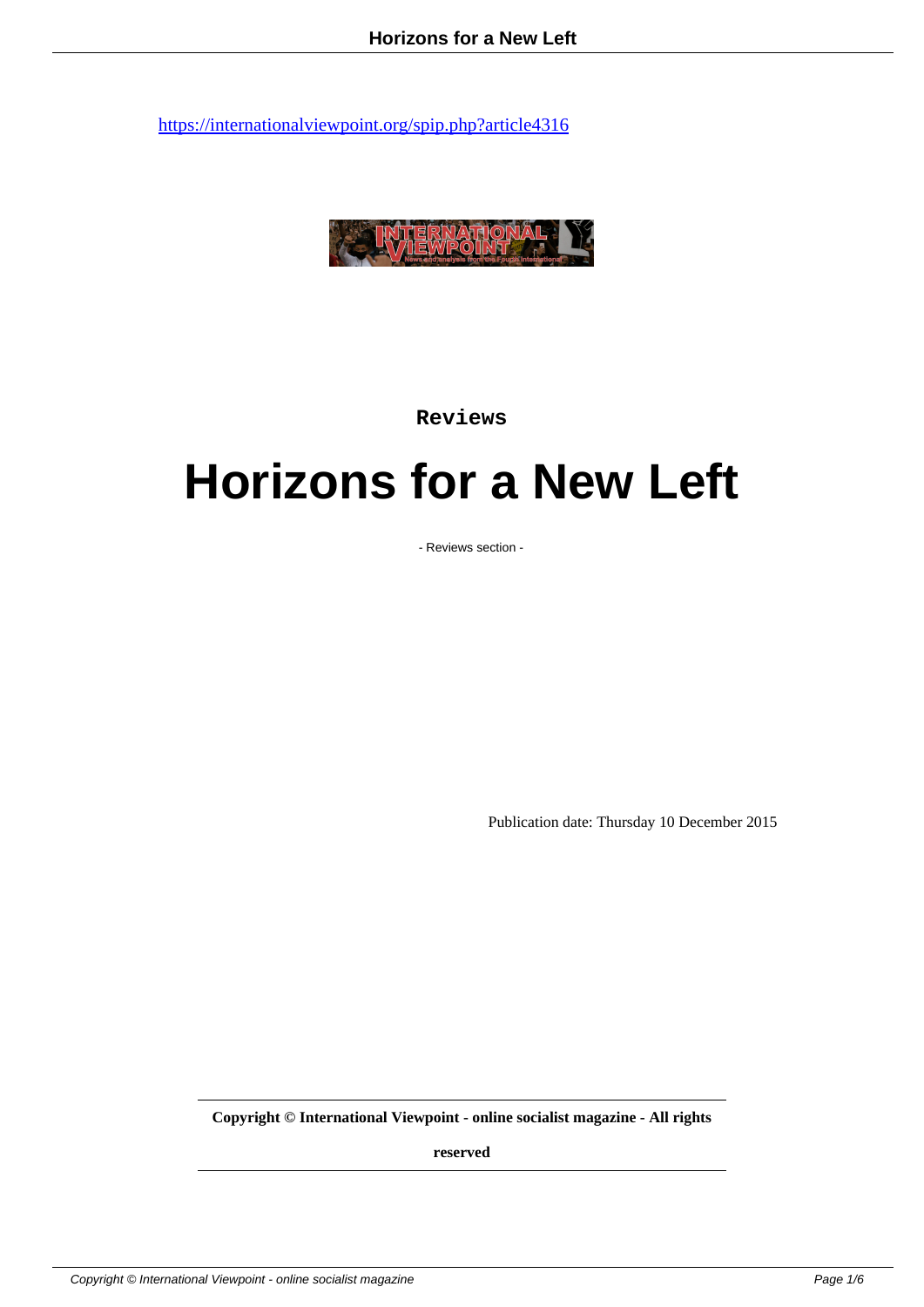

**Reviews**

## **Horizons for a New Left**

- Reviews section -

Publication date: Thursday 10 December 2015

**Copyright © International Viewpoint - online socialist magazine - All rights**

**reserved**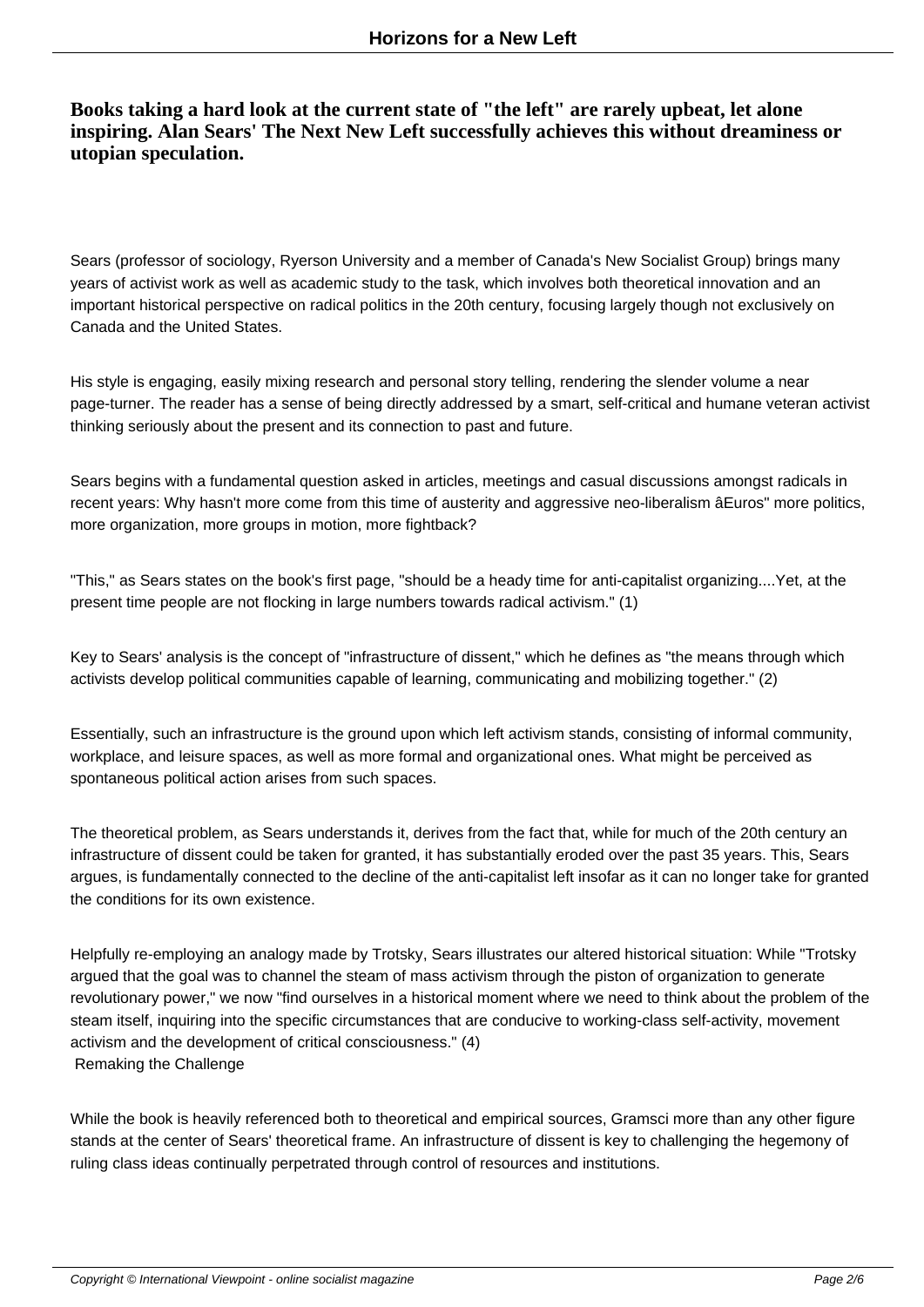## **Books taking a hard look at the current state of "the left" are rarely upbeat, let alone inspiring. Alan Sears' The Next New Left successfully achieves this without dreaminess or utopian speculation.**

Sears (professor of sociology, Ryerson University and a member of Canada's New Socialist Group) brings many years of activist work as well as academic study to the task, which involves both theoretical innovation and an important historical perspective on radical politics in the 20th century, focusing largely though not exclusively on Canada and the United States.

His style is engaging, easily mixing research and personal story telling, rendering the slender volume a near page-turner. The reader has a sense of being directly addressed by a smart, self-critical and humane veteran activist thinking seriously about the present and its connection to past and future.

Sears begins with a fundamental question asked in articles, meetings and casual discussions amongst radicals in recent years: Why hasn't more come from this time of austerity and aggressive neo-liberalism âEuros" more politics, more organization, more groups in motion, more fightback?

"This," as Sears states on the book's first page, "should be a heady time for anti-capitalist organizing....Yet, at the present time people are not flocking in large numbers towards radical activism." (1)

Key to Sears' analysis is the concept of "infrastructure of dissent," which he defines as "the means through which activists develop political communities capable of learning, communicating and mobilizing together." (2)

Essentially, such an infrastructure is the ground upon which left activism stands, consisting of informal community, workplace, and leisure spaces, as well as more formal and organizational ones. What might be perceived as spontaneous political action arises from such spaces.

The theoretical problem, as Sears understands it, derives from the fact that, while for much of the 20th century an infrastructure of dissent could be taken for granted, it has substantially eroded over the past 35 years. This, Sears argues, is fundamentally connected to the decline of the anti-capitalist left insofar as it can no longer take for granted the conditions for its own existence.

Helpfully re-employing an analogy made by Trotsky, Sears illustrates our altered historical situation: While "Trotsky argued that the goal was to channel the steam of mass activism through the piston of organization to generate revolutionary power," we now "find ourselves in a historical moment where we need to think about the problem of the steam itself, inquiring into the specific circumstances that are conducive to working-class self-activity, movement activism and the development of critical consciousness." (4) Remaking the Challenge

While the book is heavily referenced both to theoretical and empirical sources, Gramsci more than any other figure stands at the center of Sears' theoretical frame. An infrastructure of dissent is key to challenging the hegemony of ruling class ideas continually perpetrated through control of resources and institutions.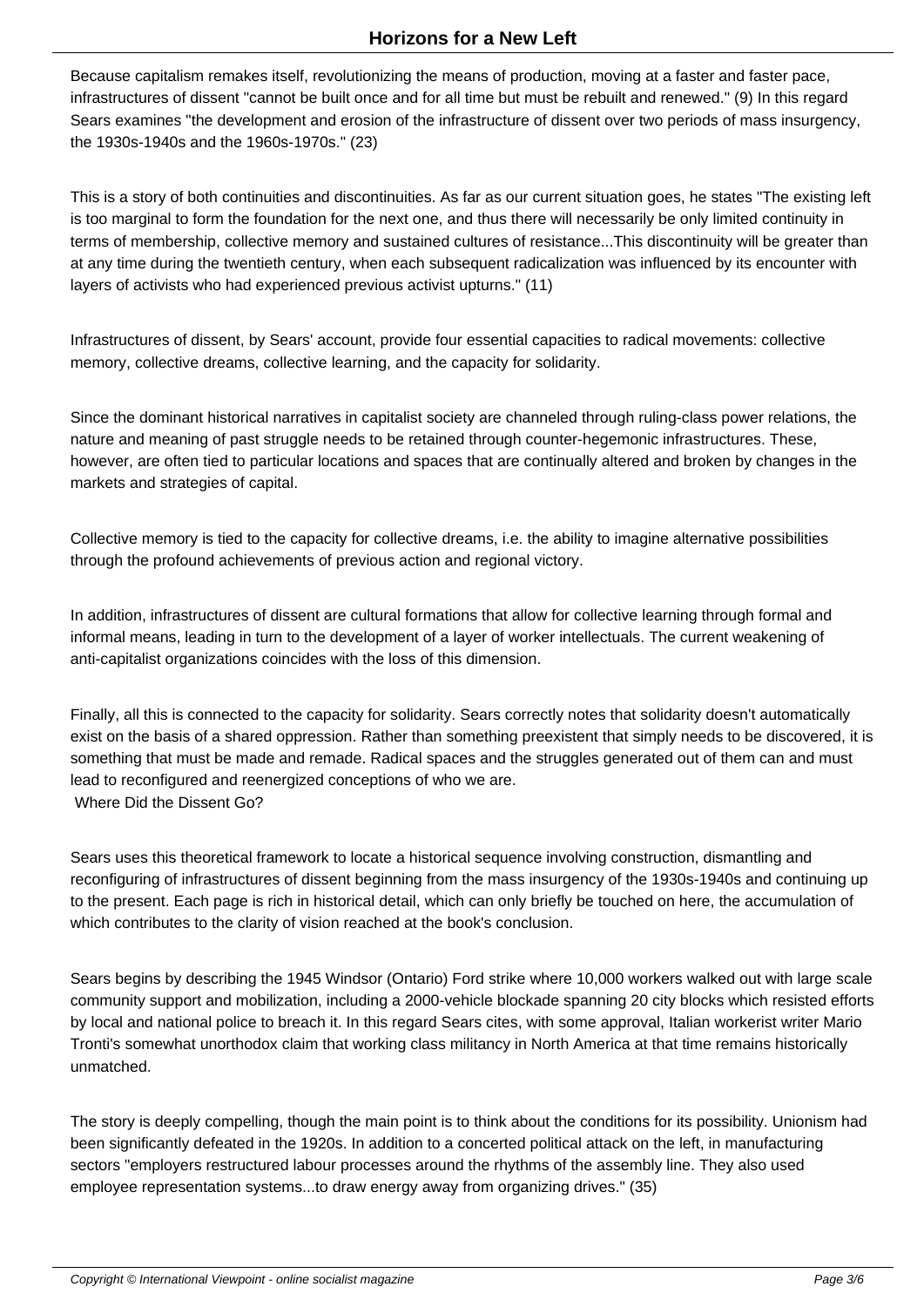Because capitalism remakes itself, revolutionizing the means of production, moving at a faster and faster pace, infrastructures of dissent "cannot be built once and for all time but must be rebuilt and renewed." (9) In this regard Sears examines "the development and erosion of the infrastructure of dissent over two periods of mass insurgency, the 1930s-1940s and the 1960s-1970s." (23)

This is a story of both continuities and discontinuities. As far as our current situation goes, he states "The existing left is too marginal to form the foundation for the next one, and thus there will necessarily be only limited continuity in terms of membership, collective memory and sustained cultures of resistance...This discontinuity will be greater than at any time during the twentieth century, when each subsequent radicalization was influenced by its encounter with layers of activists who had experienced previous activist upturns." (11)

Infrastructures of dissent, by Sears' account, provide four essential capacities to radical movements: collective memory, collective dreams, collective learning, and the capacity for solidarity.

Since the dominant historical narratives in capitalist society are channeled through ruling-class power relations, the nature and meaning of past struggle needs to be retained through counter-hegemonic infrastructures. These, however, are often tied to particular locations and spaces that are continually altered and broken by changes in the markets and strategies of capital.

Collective memory is tied to the capacity for collective dreams, i.e. the ability to imagine alternative possibilities through the profound achievements of previous action and regional victory.

In addition, infrastructures of dissent are cultural formations that allow for collective learning through formal and informal means, leading in turn to the development of a layer of worker intellectuals. The current weakening of anti-capitalist organizations coincides with the loss of this dimension.

Finally, all this is connected to the capacity for solidarity. Sears correctly notes that solidarity doesn't automatically exist on the basis of a shared oppression. Rather than something preexistent that simply needs to be discovered, it is something that must be made and remade. Radical spaces and the struggles generated out of them can and must lead to reconfigured and reenergized conceptions of who we are. Where Did the Dissent Go?

Sears uses this theoretical framework to locate a historical sequence involving construction, dismantling and reconfiguring of infrastructures of dissent beginning from the mass insurgency of the 1930s-1940s and continuing up to the present. Each page is rich in historical detail, which can only briefly be touched on here, the accumulation of which contributes to the clarity of vision reached at the book's conclusion.

Sears begins by describing the 1945 Windsor (Ontario) Ford strike where 10,000 workers walked out with large scale community support and mobilization, including a 2000-vehicle blockade spanning 20 city blocks which resisted efforts by local and national police to breach it. In this regard Sears cites, with some approval, Italian workerist writer Mario Tronti's somewhat unorthodox claim that working class militancy in North America at that time remains historically unmatched.

The story is deeply compelling, though the main point is to think about the conditions for its possibility. Unionism had been significantly defeated in the 1920s. In addition to a concerted political attack on the left, in manufacturing sectors "employers restructured labour processes around the rhythms of the assembly line. They also used employee representation systems...to draw energy away from organizing drives." (35)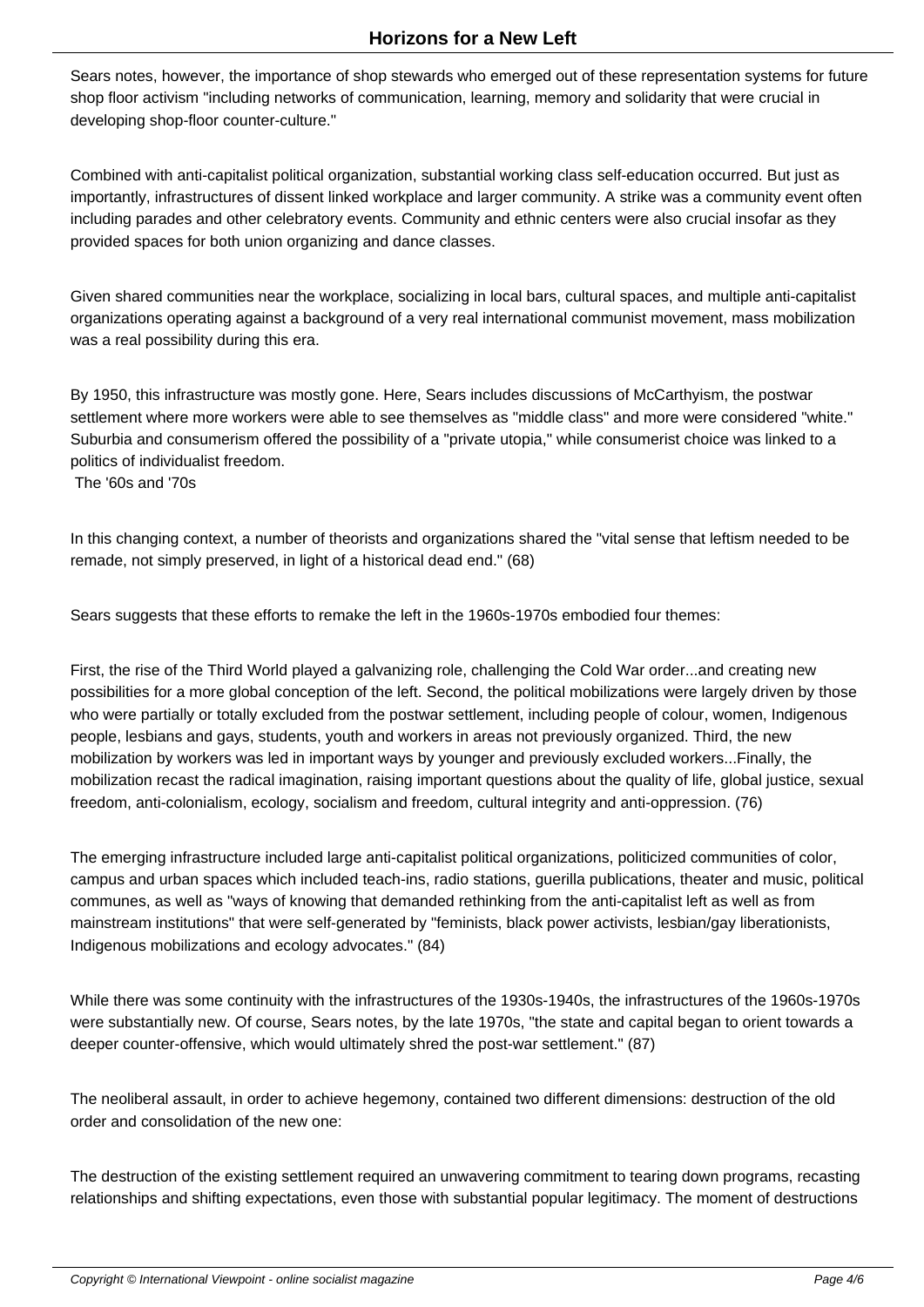Sears notes, however, the importance of shop stewards who emerged out of these representation systems for future shop floor activism "including networks of communication, learning, memory and solidarity that were crucial in developing shop-floor counter-culture."

Combined with anti-capitalist political organization, substantial working class self-education occurred. But just as importantly, infrastructures of dissent linked workplace and larger community. A strike was a community event often including parades and other celebratory events. Community and ethnic centers were also crucial insofar as they provided spaces for both union organizing and dance classes.

Given shared communities near the workplace, socializing in local bars, cultural spaces, and multiple anti-capitalist organizations operating against a background of a very real international communist movement, mass mobilization was a real possibility during this era.

By 1950, this infrastructure was mostly gone. Here, Sears includes discussions of McCarthyism, the postwar settlement where more workers were able to see themselves as "middle class" and more were considered "white." Suburbia and consumerism offered the possibility of a "private utopia," while consumerist choice was linked to a politics of individualist freedom.

The '60s and '70s

In this changing context, a number of theorists and organizations shared the "vital sense that leftism needed to be remade, not simply preserved, in light of a historical dead end." (68)

Sears suggests that these efforts to remake the left in the 1960s-1970s embodied four themes:

First, the rise of the Third World played a galvanizing role, challenging the Cold War order...and creating new possibilities for a more global conception of the left. Second, the political mobilizations were largely driven by those who were partially or totally excluded from the postwar settlement, including people of colour, women, Indigenous people, lesbians and gays, students, youth and workers in areas not previously organized. Third, the new mobilization by workers was led in important ways by younger and previously excluded workers...Finally, the mobilization recast the radical imagination, raising important questions about the quality of life, global justice, sexual freedom, anti-colonialism, ecology, socialism and freedom, cultural integrity and anti-oppression. (76)

The emerging infrastructure included large anti-capitalist political organizations, politicized communities of color, campus and urban spaces which included teach-ins, radio stations, guerilla publications, theater and music, political communes, as well as "ways of knowing that demanded rethinking from the anti-capitalist left as well as from mainstream institutions" that were self-generated by "feminists, black power activists, lesbian/gay liberationists, Indigenous mobilizations and ecology advocates." (84)

While there was some continuity with the infrastructures of the 1930s-1940s, the infrastructures of the 1960s-1970s were substantially new. Of course, Sears notes, by the late 1970s, "the state and capital began to orient towards a deeper counter-offensive, which would ultimately shred the post-war settlement." (87)

The neoliberal assault, in order to achieve hegemony, contained two different dimensions: destruction of the old order and consolidation of the new one:

The destruction of the existing settlement required an unwavering commitment to tearing down programs, recasting relationships and shifting expectations, even those with substantial popular legitimacy. The moment of destructions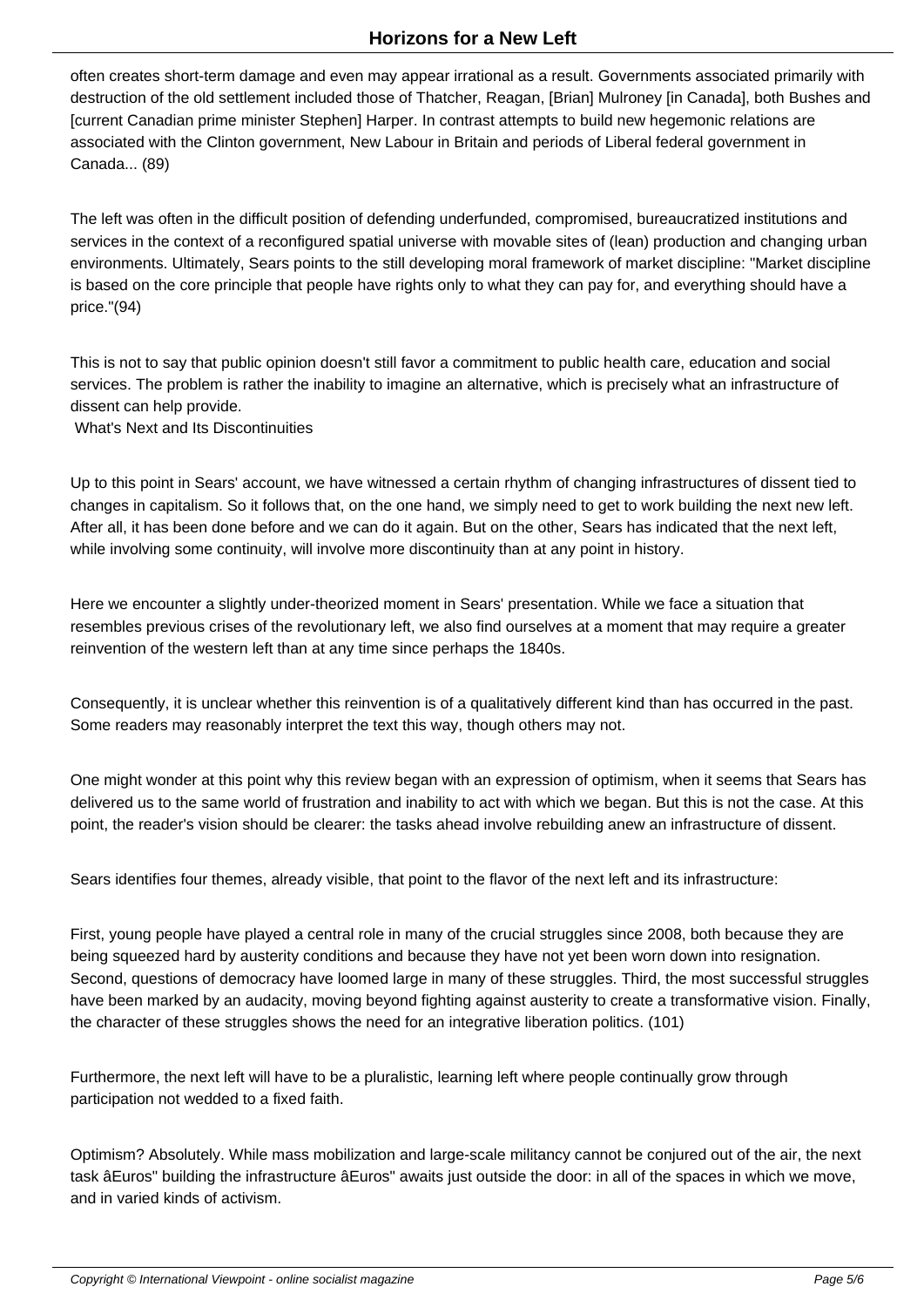often creates short-term damage and even may appear irrational as a result. Governments associated primarily with destruction of the old settlement included those of Thatcher, Reagan, [Brian] Mulroney [in Canada], both Bushes and [current Canadian prime minister Stephen] Harper. In contrast attempts to build new hegemonic relations are associated with the Clinton government, New Labour in Britain and periods of Liberal federal government in Canada... (89)

The left was often in the difficult position of defending underfunded, compromised, bureaucratized institutions and services in the context of a reconfigured spatial universe with movable sites of (lean) production and changing urban environments. Ultimately, Sears points to the still developing moral framework of market discipline: "Market discipline is based on the core principle that people have rights only to what they can pay for, and everything should have a price."(94)

This is not to say that public opinion doesn't still favor a commitment to public health care, education and social services. The problem is rather the inability to imagine an alternative, which is precisely what an infrastructure of dissent can help provide.

What's Next and Its Discontinuities

Up to this point in Sears' account, we have witnessed a certain rhythm of changing infrastructures of dissent tied to changes in capitalism. So it follows that, on the one hand, we simply need to get to work building the next new left. After all, it has been done before and we can do it again. But on the other, Sears has indicated that the next left, while involving some continuity, will involve more discontinuity than at any point in history.

Here we encounter a slightly under-theorized moment in Sears' presentation. While we face a situation that resembles previous crises of the revolutionary left, we also find ourselves at a moment that may require a greater reinvention of the western left than at any time since perhaps the 1840s.

Consequently, it is unclear whether this reinvention is of a qualitatively different kind than has occurred in the past. Some readers may reasonably interpret the text this way, though others may not.

One might wonder at this point why this review began with an expression of optimism, when it seems that Sears has delivered us to the same world of frustration and inability to act with which we began. But this is not the case. At this point, the reader's vision should be clearer: the tasks ahead involve rebuilding anew an infrastructure of dissent.

Sears identifies four themes, already visible, that point to the flavor of the next left and its infrastructure:

First, young people have played a central role in many of the crucial struggles since 2008, both because they are being squeezed hard by austerity conditions and because they have not yet been worn down into resignation. Second, questions of democracy have loomed large in many of these struggles. Third, the most successful struggles have been marked by an audacity, moving beyond fighting against austerity to create a transformative vision. Finally, the character of these struggles shows the need for an integrative liberation politics. (101)

Furthermore, the next left will have to be a pluralistic, learning left where people continually grow through participation not wedded to a fixed faith.

Optimism? Absolutely. While mass mobilization and large-scale militancy cannot be conjured out of the air, the next task âEuros" building the infrastructure âEuros" awaits just outside the door: in all of the spaces in which we move, and in varied kinds of activism.